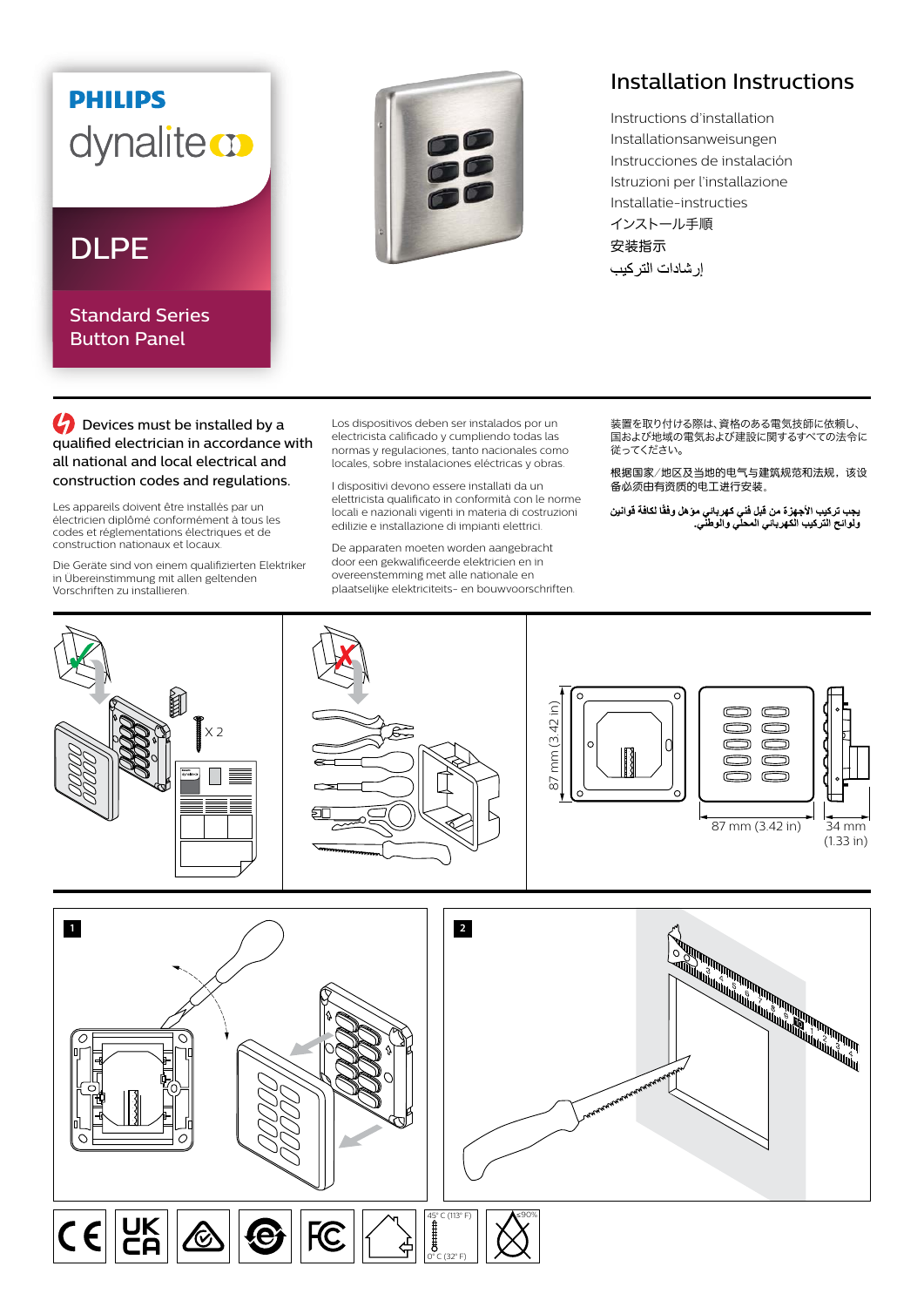## **PHILIPS** dynaliteco

Standard Series Button Panel



## Installation Instructions

Instructions d'installation Installationsanweisungen Instrucciones de instalación Istruzioni per l'installazione Installatie-instructies インストール手順

**C** Devices must be installed by a qualified electrician in accordance with all national and local electrical and construction codes and regulations.

Les appareils doivent être installés par un électricien diplômé conformément à tous les codes et réglementations électriques et de construction nationaux et locaux.

Die Geräte sind von einem qualifizierten Elektriker in Übereinstimmung mit allen geltenden Vorschriften zu installieren.

Los dispositivos deben ser instalados por un electricista calificado y cumpliendo todas las normas y regulaciones, tanto nacionales como locales, sobre instalaciones eléctricas y obras.

I dispositivi devono essere installati da un elettricista qualificato in conformità con le norme locali e nazionali vigenti in materia di costruzioni edilizie e installazione di impianti elettrici.

De apparaten moeten worden aangebracht door een gekwalificeerde elektricien en in overeenstemming met alle nationale en plaatselijke elektriciteits- en bouwvoorschriften. 装置を取り付ける際は、資格のある電気技師に依頼し、 ーーーーーーの ここで こころ ここの ここの ここの ここの<br>国および地域の電気および建設に関するすべての法令に 従ってください。

根据国家/地区及当地的电气与建筑规范和法规,该设 备必须由有资质的电工进行安装。

يجب تركيب الأجهزة من قبل فني كهرباني موّ هل وفقًا لكافة قوانين<br>ولوائح التركيب الكهرباني المحلي والوطني<sub>.</sub>